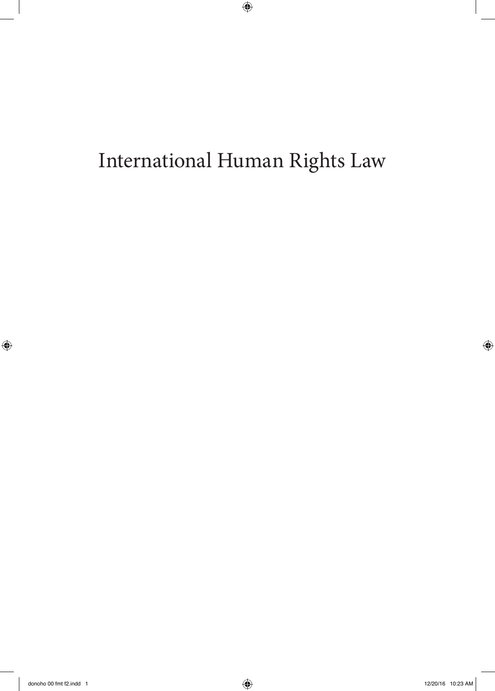# International Human Rights Law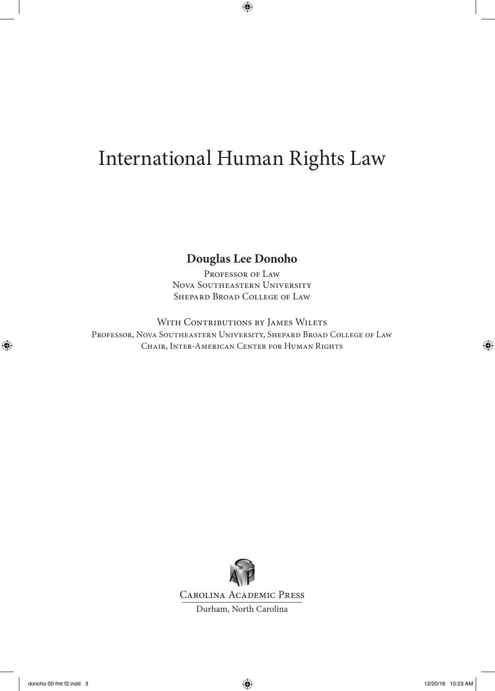### International Human Rights Law

### **Douglas Lee Donoho**

PROFESSOR OF LAW Nova Southeastern University Shepard Broad College of Law

WITH CONTRIBUTIONS BY JAMES WILETS Professor, Nova Southeastern University, Shepard Broad College of Law Chair, Inter-American Center for Human Rights



Carolina Academic Press

Durham, North Carolina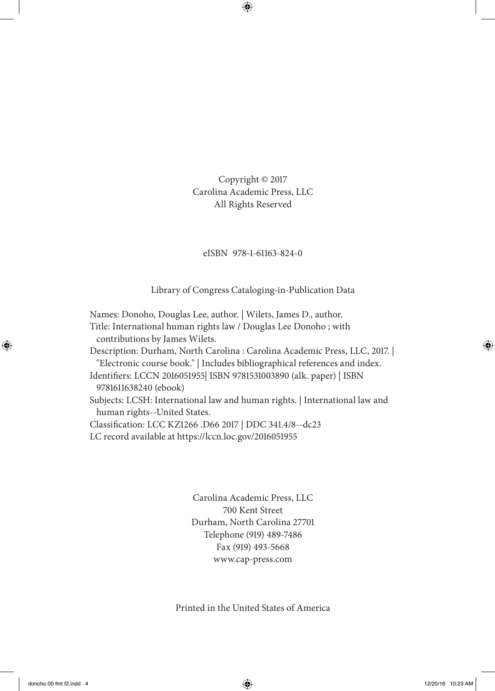Copyright © 2017 Carolina Academic Press, LLC All Rights Reserved

### eISBN 978-1-61163-824-0

Library of Congress Cataloging-in-Publication Data

Names: Donoho, Douglas Lee, author. | Wilets, James D., author. Title: International human rights law / Douglas Lee Donoho ; with contributions by James Wilets. Description: Durham, North Carolina : Carolina Academic Press, LLC, 2017. | "Electronic course book." | Includes bibliographical references and index. Identifiers: LCCN 2016051955| ISBN 9781531003890 (alk. paper) | ISBN 9781611638240 (ebook) Subjects: LCSH: International law and human rights. | International law and human rights--United States. Classification: LCC KZ1266 .D66 2017 | DDC 341.4/8--dc23 LC record available at https://lccn.loc.gov/2016051955

> Carolina Academic Press, LLC 700 Kent Street Durham, North Carolina 27701 Telephone (919) 489-7486 Fax (919) 493-5668 www.cap-press.com

Printed in the United States of America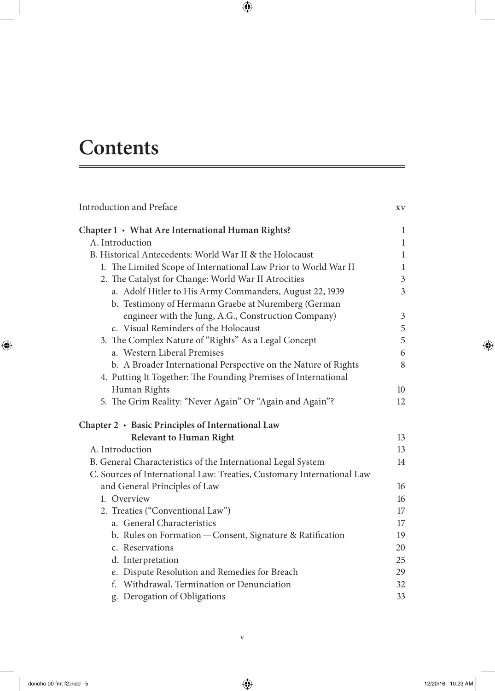## **Contents**

| Introduction and Preface                                               | XV |
|------------------------------------------------------------------------|----|
| Chapter 1 • What Are International Human Rights?                       | 1  |
| A. Introduction                                                        | 1  |
| B. Historical Antecedents: World War II & the Holocaust                | 1  |
| 1. The Limited Scope of International Law Prior to World War II        | 1  |
| 2. The Catalyst for Change: World War II Atrocities                    | 3  |
| a. Adolf Hitler to His Army Commanders, August 22, 1939                | 3  |
| b. Testimony of Hermann Graebe at Nuremberg (German                    |    |
| engineer with the Jung, A.G., Construction Company)                    | 3  |
| c. Visual Reminders of the Holocaust                                   | 5  |
| 3. The Complex Nature of "Rights" As a Legal Concept                   | 5  |
| a. Western Liberal Premises                                            | 6  |
| b. A Broader International Perspective on the Nature of Rights         | 8  |
| 4. Putting It Together: The Founding Premises of International         |    |
| Human Rights                                                           | 10 |
| 5. The Grim Reality: "Never Again" Or "Again and Again"?               | 12 |
| Chapter 2 · Basic Principles of International Law                      |    |
| <b>Relevant to Human Right</b>                                         | 13 |
| A. Introduction                                                        | 13 |
| B. General Characteristics of the International Legal System           | 14 |
| C. Sources of International Law: Treaties, Customary International Law |    |
| and General Principles of Law                                          | 16 |
| 1. Overview                                                            | 16 |
| 2. Treaties ("Conventional Law")                                       | 17 |
| a. General Characteristics                                             | 17 |
| b. Rules on Formation - Consent, Signature & Ratification              | 19 |
| c. Reservations                                                        | 20 |
| d. Interpretation                                                      | 25 |
| e. Dispute Resolution and Remedies for Breach                          | 29 |
| f. Withdrawal, Termination or Denunciation                             | 32 |
| g. Derogation of Obligations                                           | 33 |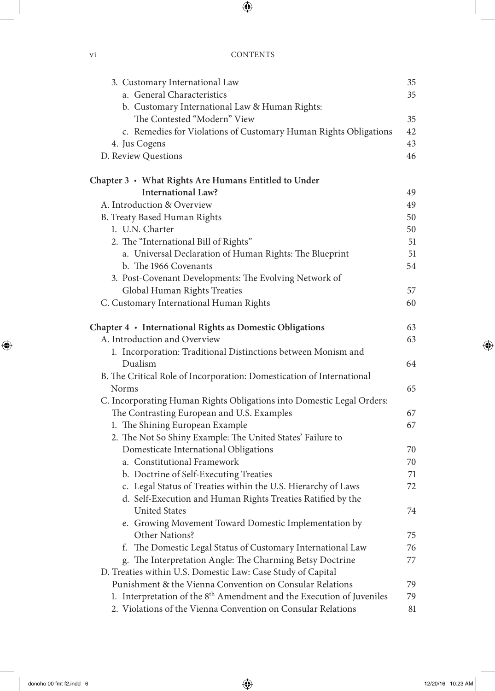| 3. Customary International Law                                                    | 35 |
|-----------------------------------------------------------------------------------|----|
| a. General Characteristics                                                        | 35 |
| b. Customary International Law & Human Rights:                                    |    |
| The Contested "Modern" View                                                       | 35 |
| c. Remedies for Violations of Customary Human Rights Obligations                  | 42 |
| 4. Jus Cogens                                                                     | 43 |
| D. Review Questions                                                               | 46 |
| Chapter 3 • What Rights Are Humans Entitled to Under                              |    |
| <b>International Law?</b>                                                         | 49 |
| A. Introduction & Overview                                                        | 49 |
| B. Treaty Based Human Rights                                                      | 50 |
| 1. U.N. Charter                                                                   | 50 |
| 2. The "International Bill of Rights"                                             | 51 |
| a. Universal Declaration of Human Rights: The Blueprint                           | 51 |
| b. The 1966 Covenants                                                             | 54 |
| 3. Post-Covenant Developments: The Evolving Network of                            |    |
| Global Human Rights Treaties                                                      | 57 |
| C. Customary International Human Rights                                           | 60 |
|                                                                                   |    |
| Chapter 4 · International Rights as Domestic Obligations                          | 63 |
| A. Introduction and Overview                                                      | 63 |
| 1. Incorporation: Traditional Distinctions between Monism and                     |    |
| Dualism                                                                           | 64 |
| B. The Critical Role of Incorporation: Domestication of International             |    |
| Norms                                                                             | 65 |
| C. Incorporating Human Rights Obligations into Domestic Legal Orders:             |    |
| The Contrasting European and U.S. Examples                                        | 67 |
| 1. The Shining European Example                                                   | 67 |
| 2. The Not So Shiny Example: The United States' Failure to                        |    |
| Domesticate International Obligations                                             | 70 |
| a. Constitutional Framework                                                       | 70 |
| b. Doctrine of Self-Executing Treaties                                            | 71 |
| c. Legal Status of Treaties within the U.S. Hierarchy of Laws                     | 72 |
| d. Self-Execution and Human Rights Treaties Ratified by the                       |    |
| <b>United States</b>                                                              | 74 |
| e. Growing Movement Toward Domestic Implementation by                             |    |
| Other Nations?                                                                    | 75 |
| The Domestic Legal Status of Customary International Law<br>t.                    | 76 |
| g. The Interpretation Angle: The Charming Betsy Doctrine                          | 77 |
| D. Treaties within U.S. Domestic Law: Case Study of Capital                       |    |
| Punishment & the Vienna Convention on Consular Relations                          | 79 |
| 1. Interpretation of the 8 <sup>th</sup> Amendment and the Execution of Juveniles | 79 |
| 2. Violations of the Vienna Convention on Consular Relations                      | 81 |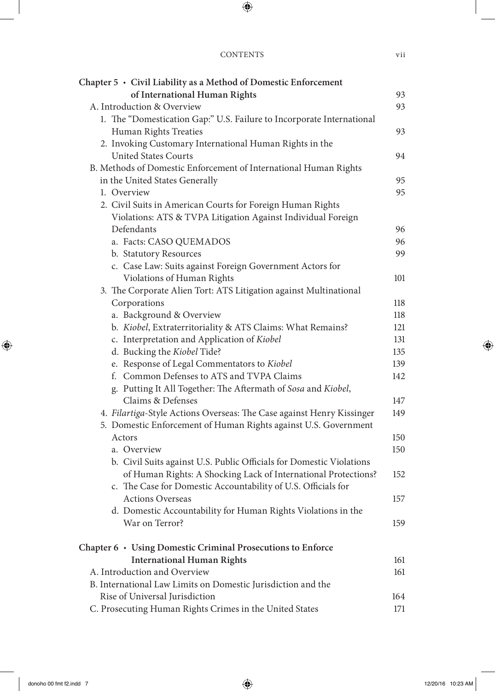| Chapter $5 \cdot$ Civil Liability as a Method of Domestic Enforcement |     |
|-----------------------------------------------------------------------|-----|
| of International Human Rights                                         | 93  |
| A. Introduction & Overview                                            | 93  |
| 1. The "Domestication Gap:" U.S. Failure to Incorporate International |     |
| Human Rights Treaties                                                 | 93  |
| 2. Invoking Customary International Human Rights in the               |     |
| <b>United States Courts</b>                                           | 94  |
| B. Methods of Domestic Enforcement of International Human Rights      |     |
| in the United States Generally                                        | 95  |
| 1. Overview                                                           | 95  |
| 2. Civil Suits in American Courts for Foreign Human Rights            |     |
| Violations: ATS & TVPA Litigation Against Individual Foreign          |     |
| Defendants                                                            | 96  |
| a. Facts: CASO QUEMADOS                                               | 96  |
| b. Statutory Resources                                                | 99  |
| c. Case Law: Suits against Foreign Government Actors for              |     |
| Violations of Human Rights                                            | 101 |
| 3. The Corporate Alien Tort: ATS Litigation against Multinational     |     |
| Corporations                                                          | 118 |
| a. Background & Overview                                              | 118 |
| b. Kiobel, Extraterritoriality & ATS Claims: What Remains?            | 121 |
| c. Interpretation and Application of Kiobel                           | 131 |
| d. Bucking the Kiobel Tide?                                           | 135 |
| e. Response of Legal Commentators to Kiobel                           | 139 |
| f. Common Defenses to ATS and TVPA Claims                             | 142 |
| g. Putting It All Together: The Aftermath of Sosa and Kiobel,         |     |
| Claims & Defenses                                                     | 147 |
| 4. Filartiga-Style Actions Overseas: The Case against Henry Kissinger | 149 |
| 5. Domestic Enforcement of Human Rights against U.S. Government       |     |
| Actors                                                                | 150 |
| a. Overview                                                           | 150 |
| b. Civil Suits against U.S. Public Officials for Domestic Violations  |     |
| of Human Rights: A Shocking Lack of International Protections?        | 152 |
| c. The Case for Domestic Accountability of U.S. Officials for         |     |
| <b>Actions Overseas</b>                                               | 157 |
| d. Domestic Accountability for Human Rights Violations in the         |     |
| War on Terror?                                                        | 159 |
| Chapter 6 · Using Domestic Criminal Prosecutions to Enforce           |     |
| <b>International Human Rights</b>                                     | 161 |
| A. Introduction and Overview                                          | 161 |
| B. International Law Limits on Domestic Jurisdiction and the          |     |
| Rise of Universal Jurisdiction                                        | 164 |
| C. Prosecuting Human Rights Crimes in the United States               | 171 |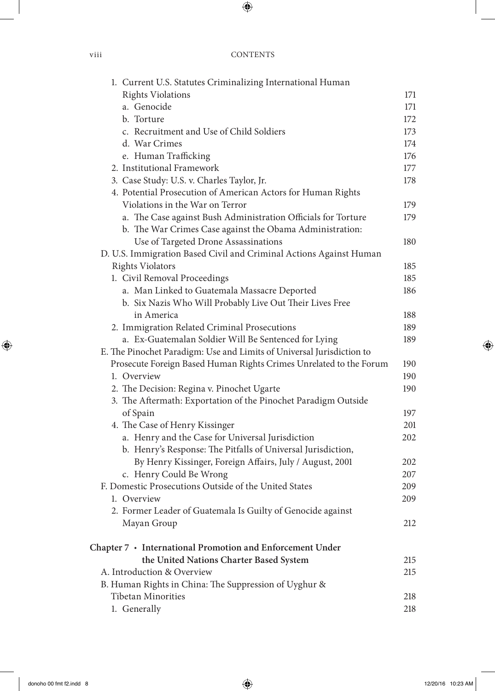| 1. Current U.S. Statutes Criminalizing International Human            |     |
|-----------------------------------------------------------------------|-----|
| <b>Rights Violations</b>                                              | 171 |
| a. Genocide                                                           | 171 |
| b. Torture                                                            | 172 |
| c. Recruitment and Use of Child Soldiers                              | 173 |
| d. War Crimes                                                         | 174 |
| e. Human Trafficking                                                  | 176 |
| 2. Institutional Framework                                            | 177 |
| 3. Case Study: U.S. v. Charles Taylor, Jr.                            | 178 |
| 4. Potential Prosecution of American Actors for Human Rights          |     |
| Violations in the War on Terror                                       | 179 |
| a. The Case against Bush Administration Officials for Torture         | 179 |
| b. The War Crimes Case against the Obama Administration:              |     |
| Use of Targeted Drone Assassinations                                  | 180 |
| D. U.S. Immigration Based Civil and Criminal Actions Against Human    |     |
| <b>Rights Violators</b>                                               | 185 |
| 1. Civil Removal Proceedings                                          | 185 |
| a. Man Linked to Guatemala Massacre Deported                          | 186 |
| b. Six Nazis Who Will Probably Live Out Their Lives Free              |     |
| in America                                                            | 188 |
| 2. Immigration Related Criminal Prosecutions                          | 189 |
| a. Ex-Guatemalan Soldier Will Be Sentenced for Lying                  | 189 |
| E. The Pinochet Paradigm: Use and Limits of Universal Jurisdiction to |     |
| Prosecute Foreign Based Human Rights Crimes Unrelated to the Forum    | 190 |
| 1. Overview                                                           | 190 |
| 2. The Decision: Regina v. Pinochet Ugarte                            | 190 |
| 3. The Aftermath: Exportation of the Pinochet Paradigm Outside        |     |
| of Spain                                                              | 197 |
| 4. The Case of Henry Kissinger                                        | 201 |
| a. Henry and the Case for Universal Jurisdiction                      | 202 |
| b. Henry's Response: The Pitfalls of Universal Jurisdiction,          |     |
| By Henry Kissinger, Foreign Affairs, July / August, 2001              | 202 |
| c. Henry Could Be Wrong                                               | 207 |
| F. Domestic Prosecutions Outside of the United States                 | 209 |
| 1. Overview                                                           | 209 |
| 2. Former Leader of Guatemala Is Guilty of Genocide against           |     |
| Mayan Group                                                           | 212 |
| Chapter 7 • International Promotion and Enforcement Under             |     |
| the United Nations Charter Based System                               | 215 |
| A. Introduction & Overview                                            | 215 |
| B. Human Rights in China: The Suppression of Uyghur &                 |     |
| <b>Tibetan Minorities</b>                                             | 218 |
| 1. Generally                                                          | 218 |
|                                                                       |     |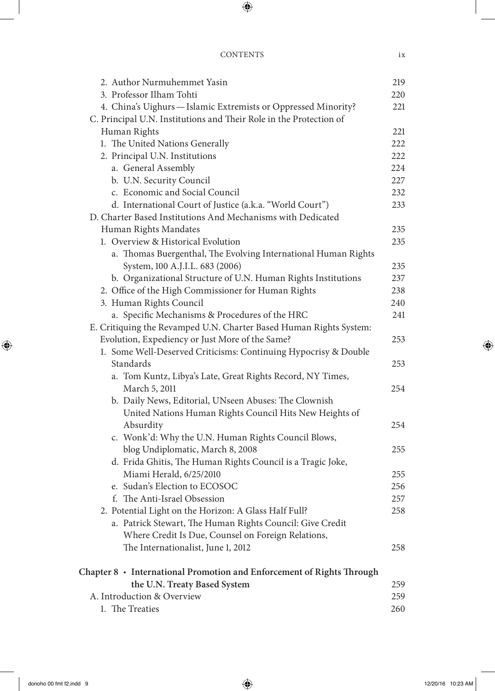| 2. Author Nurmuhemmet Yasin                                                  | 219 |
|------------------------------------------------------------------------------|-----|
| 3. Professor Ilham Tohti                                                     | 220 |
| 4. China's Uighurs - Islamic Extremists or Oppressed Minority?               | 221 |
| C. Principal U.N. Institutions and Their Role in the Protection of           |     |
| Human Rights                                                                 | 221 |
| 1. The United Nations Generally                                              | 222 |
| 2. Principal U.N. Institutions                                               | 222 |
| a. General Assembly                                                          | 224 |
| b. U.N. Security Council                                                     | 227 |
| c. Economic and Social Council                                               | 232 |
| d. International Court of Justice (a.k.a. "World Court")                     | 233 |
| D. Charter Based Institutions And Mechanisms with Dedicated                  |     |
| Human Rights Mandates                                                        | 235 |
| 1. Overview & Historical Evolution                                           | 235 |
| a. Thomas Buergenthal, The Evolving International Human Rights               |     |
| System, 100 A.J.I.L. 683 (2006)                                              | 235 |
| b. Organizational Structure of U.N. Human Rights Institutions                | 237 |
| 2. Office of the High Commissioner for Human Rights                          | 238 |
| 3. Human Rights Council                                                      | 240 |
| a. Specific Mechanisms & Procedures of the HRC                               | 241 |
| E. Critiquing the Revamped U.N. Charter Based Human Rights System:           |     |
| Evolution, Expediency or Just More of the Same?                              | 253 |
| 1. Some Well-Deserved Criticisms: Continuing Hypocrisy & Double              |     |
| Standards                                                                    | 253 |
| a. Tom Kuntz, Libya's Late, Great Rights Record, NY Times,                   |     |
| March 5, 2011                                                                | 254 |
| b. Daily News, Editorial, UNseen Abuses: The Clownish                        |     |
| United Nations Human Rights Council Hits New Heights of                      |     |
| Absurdity                                                                    | 254 |
| c. Wonk'd: Why the U.N. Human Rights Council Blows,                          |     |
| blog Undiplomatic, March 8, 2008                                             | 255 |
| d. Frida Ghitis, The Human Rights Council is a Tragic Joke,                  |     |
| Miami Herald, 6/25/2010                                                      | 255 |
| e. Sudan's Election to ECOSOC                                                | 256 |
| f. The Anti-Israel Obsession                                                 | 257 |
| 2. Potential Light on the Horizon: A Glass Half Full?                        | 258 |
| a. Patrick Stewart, The Human Rights Council: Give Credit                    |     |
| Where Credit Is Due, Counsel on Foreign Relations,                           |     |
| The Internationalist, June 1, 2012                                           | 258 |
| Chapter $8 \cdot 1$ nternational Promotion and Enforcement of Rights Through |     |
| the U.N. Treaty Based System                                                 | 259 |
| A. Introduction & Overview                                                   | 259 |
| 1. The Treaties                                                              | 260 |
|                                                                              |     |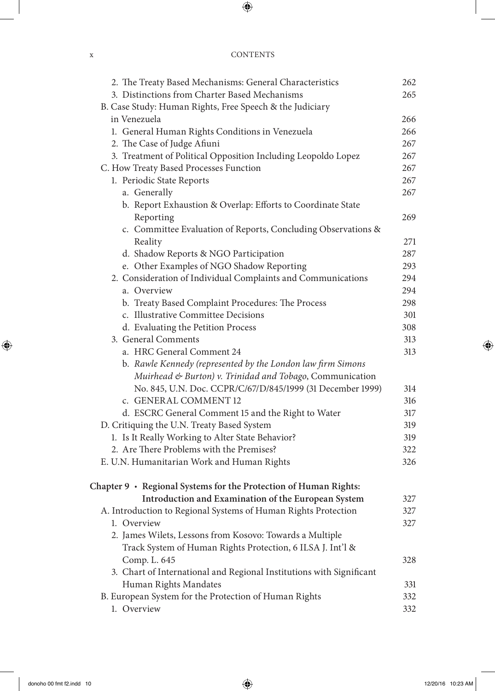#### x CONTENTS

| 2. The Treaty Based Mechanisms: General Characteristics              | 262 |
|----------------------------------------------------------------------|-----|
| 3. Distinctions from Charter Based Mechanisms                        | 265 |
| B. Case Study: Human Rights, Free Speech & the Judiciary             |     |
| in Venezuela                                                         | 266 |
| 1. General Human Rights Conditions in Venezuela                      | 266 |
| 2. The Case of Judge Afiuni                                          | 267 |
| 3. Treatment of Political Opposition Including Leopoldo Lopez        | 267 |
| C. How Treaty Based Processes Function                               | 267 |
| 1. Periodic State Reports                                            | 267 |
| a. Generally                                                         | 267 |
| b. Report Exhaustion & Overlap: Efforts to Coordinate State          |     |
| Reporting                                                            | 269 |
| c. Committee Evaluation of Reports, Concluding Observations &        |     |
| Reality                                                              | 271 |
| d. Shadow Reports & NGO Participation                                | 287 |
| e. Other Examples of NGO Shadow Reporting                            | 293 |
| 2. Consideration of Individual Complaints and Communications         | 294 |
| a. Overview                                                          | 294 |
| b. Treaty Based Complaint Procedures: The Process                    | 298 |
| c. Illustrative Committee Decisions                                  | 301 |
| d. Evaluating the Petition Process                                   | 308 |
| 3. General Comments                                                  | 313 |
| a. HRC General Comment 24                                            | 313 |
| b. Rawle Kennedy (represented by the London law firm Simons          |     |
| Muirhead & Burton) v. Trinidad and Tobago, Communication             |     |
| No. 845, U.N. Doc. CCPR/C/67/D/845/1999 (31 December 1999)           | 314 |
| c. GENERAL COMMENT 12                                                | 316 |
| d. ESCRC General Comment 15 and the Right to Water                   | 317 |
| D. Critiquing the U.N. Treaty Based System                           | 319 |
| 1. Is It Really Working to Alter State Behavior?                     | 319 |
| 2. Are There Problems with the Premises?                             | 322 |
| E. U.N. Humanitarian Work and Human Rights                           | 326 |
| Chapter 9 · Regional Systems for the Protection of Human Rights:     |     |
| Introduction and Examination of the European System                  | 327 |
| A. Introduction to Regional Systems of Human Rights Protection       | 327 |
| 1. Overview                                                          | 327 |
| 2. James Wilets, Lessons from Kosovo: Towards a Multiple             |     |
| Track System of Human Rights Protection, 6 ILSA J. Int'l &           |     |
| Comp. L. 645                                                         | 328 |
| 3. Chart of International and Regional Institutions with Significant |     |
| Human Rights Mandates                                                | 331 |
| B. European System for the Protection of Human Rights                | 332 |
| 1. Overview                                                          | 332 |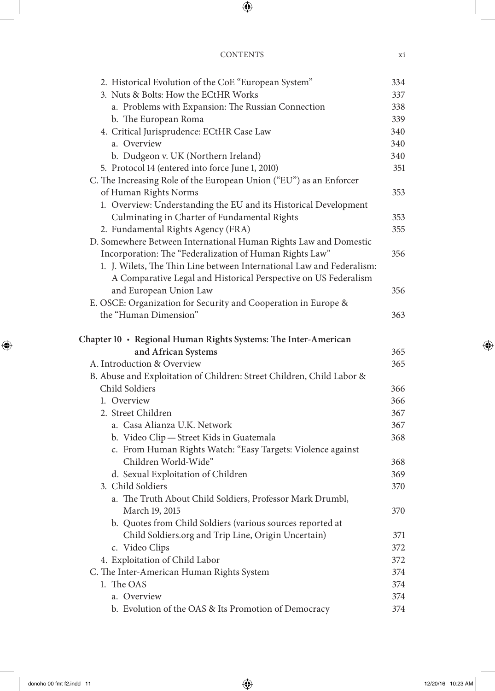#### CONTENTS xi

| 2. Historical Evolution of the CoE "European System"                  | 334 |
|-----------------------------------------------------------------------|-----|
| 3. Nuts & Bolts: How the ECtHR Works                                  | 337 |
| a. Problems with Expansion: The Russian Connection                    | 338 |
| b. The European Roma                                                  | 339 |
| 4. Critical Jurisprudence: ECtHR Case Law                             | 340 |
| a. Overview                                                           | 340 |
| b. Dudgeon v. UK (Northern Ireland)                                   | 340 |
| 5. Protocol 14 (entered into force June 1, 2010)                      | 351 |
| C. The Increasing Role of the European Union ("EU") as an Enforcer    |     |
| of Human Rights Norms                                                 | 353 |
| 1. Overview: Understanding the EU and its Historical Development      |     |
| Culminating in Charter of Fundamental Rights                          | 353 |
| 2. Fundamental Rights Agency (FRA)                                    | 355 |
| D. Somewhere Between International Human Rights Law and Domestic      |     |
| Incorporation: The "Federalization of Human Rights Law"               | 356 |
| 1. J. Wilets, The Thin Line between International Law and Federalism: |     |
| A Comparative Legal and Historical Perspective on US Federalism       |     |
| and European Union Law                                                | 356 |
| E. OSCE: Organization for Security and Cooperation in Europe &        |     |
| the "Human Dimension"                                                 | 363 |
|                                                                       |     |
| Chapter 10 · Regional Human Rights Systems: The Inter-American        |     |
| and African Systems                                                   | 365 |
| A. Introduction & Overview                                            | 365 |
| B. Abuse and Exploitation of Children: Street Children, Child Labor & |     |
| Child Soldiers                                                        | 366 |
| 1. Overview                                                           | 366 |
| 2. Street Children                                                    | 367 |
| a. Casa Alianza U.K. Network                                          | 367 |
| b. Video Clip - Street Kids in Guatemala                              | 368 |
| c. From Human Rights Watch: "Easy Targets: Violence against           |     |
| Children World-Wide"                                                  | 368 |
| d. Sexual Exploitation of Children                                    | 369 |
| 3. Child Soldiers                                                     | 370 |
| a. The Truth About Child Soldiers, Professor Mark Drumbl,             |     |
| March 19, 2015                                                        | 370 |
| b. Quotes from Child Soldiers (various sources reported at            |     |
| Child Soldiers.org and Trip Line, Origin Uncertain)                   | 371 |
| c. Video Clips                                                        | 372 |
| 4. Exploitation of Child Labor                                        | 372 |
| C. The Inter-American Human Rights System<br>1. The OAS               | 374 |
| a. Overview                                                           | 374 |
|                                                                       | 374 |
| b. Evolution of the OAS & Its Promotion of Democracy                  | 374 |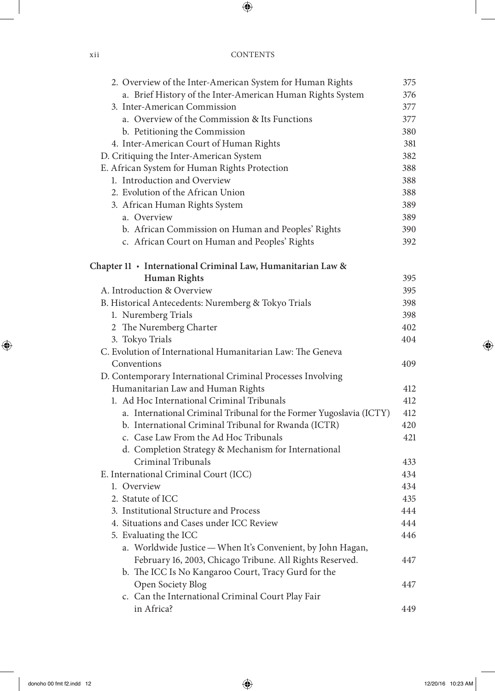| X 11 | <b>CONTENTS</b> |
|------|-----------------|
|      |                 |

| 2. Overview of the Inter-American System for Human Rights           | 375 |
|---------------------------------------------------------------------|-----|
| a. Brief History of the Inter-American Human Rights System          | 376 |
| 3. Inter-American Commission                                        | 377 |
| a. Overview of the Commission & Its Functions                       | 377 |
| b. Petitioning the Commission                                       | 380 |
| 4. Inter-American Court of Human Rights                             | 381 |
| D. Critiquing the Inter-American System                             | 382 |
| E. African System for Human Rights Protection                       | 388 |
| 1. Introduction and Overview                                        | 388 |
| 2. Evolution of the African Union                                   | 388 |
| 3. African Human Rights System                                      | 389 |
| a. Overview                                                         | 389 |
| b. African Commission on Human and Peoples' Rights                  | 390 |
| c. African Court on Human and Peoples' Rights                       | 392 |
| Chapter 11 · International Criminal Law, Humanitarian Law &         |     |
| <b>Human Rights</b>                                                 | 395 |
| A. Introduction & Overview                                          | 395 |
| B. Historical Antecedents: Nuremberg & Tokyo Trials                 | 398 |
| 1. Nuremberg Trials                                                 | 398 |
| 2 The Nuremberg Charter                                             | 402 |
| 3. Tokyo Trials                                                     | 404 |
| C. Evolution of International Humanitarian Law: The Geneva          |     |
| Conventions                                                         | 409 |
| D. Contemporary International Criminal Processes Involving          |     |
| Humanitarian Law and Human Rights                                   | 412 |
| 1. Ad Hoc International Criminal Tribunals                          | 412 |
| a. International Criminal Tribunal for the Former Yugoslavia (ICTY) | 412 |
| b. International Criminal Tribunal for Rwanda (ICTR)                | 420 |
| c. Case Law From the Ad Hoc Tribunals                               | 421 |
| d. Completion Strategy & Mechanism for International                |     |
| Criminal Tribunals                                                  | 433 |
| E. International Criminal Court (ICC)                               | 434 |
| 1. Overview                                                         | 434 |
| 2. Statute of ICC                                                   | 435 |
| 3. Institutional Structure and Process                              | 444 |
| 4. Situations and Cases under ICC Review                            | 444 |
| 5. Evaluating the ICC                                               | 446 |
| a. Worldwide Justice - When It's Convenient, by John Hagan,         |     |
| February 16, 2003, Chicago Tribune. All Rights Reserved.            | 447 |
| b. The ICC Is No Kangaroo Court, Tracy Gurd for the                 |     |
| Open Society Blog                                                   | 447 |
| c. Can the International Criminal Court Play Fair                   |     |
| in Africa?                                                          | 449 |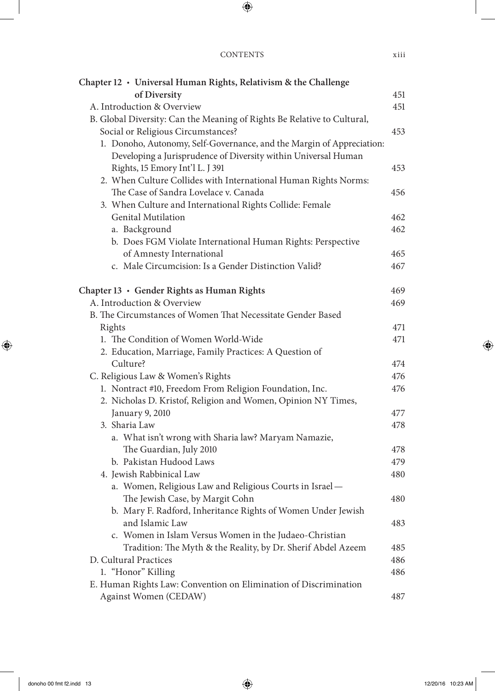| Chapter 12 · Universal Human Rights, Relativism & the Challenge                        |     |
|----------------------------------------------------------------------------------------|-----|
| of Diversity                                                                           | 451 |
| A. Introduction & Overview                                                             | 451 |
| B. Global Diversity: Can the Meaning of Rights Be Relative to Cultural,                |     |
| Social or Religious Circumstances?                                                     | 453 |
| 1. Donoho, Autonomy, Self-Governance, and the Margin of Appreciation:                  |     |
| Developing a Jurisprudence of Diversity within Universal Human                         |     |
| Rights, 15 Emory Int'l L. J 391                                                        | 453 |
| 2. When Culture Collides with International Human Rights Norms:                        |     |
| The Case of Sandra Lovelace v. Canada                                                  | 456 |
| 3. When Culture and International Rights Collide: Female                               |     |
| Genital Mutilation                                                                     | 462 |
| a. Background                                                                          | 462 |
| b. Does FGM Violate International Human Rights: Perspective                            |     |
| of Amnesty International                                                               | 465 |
| c. Male Circumcision: Is a Gender Distinction Valid?                                   | 467 |
| Chapter 13 · Gender Rights as Human Rights                                             | 469 |
| A. Introduction & Overview                                                             | 469 |
| B. The Circumstances of Women That Necessitate Gender Based                            |     |
| Rights                                                                                 | 471 |
| 1. The Condition of Women World-Wide                                                   | 471 |
| 2. Education, Marriage, Family Practices: A Question of                                |     |
| Culture?                                                                               | 474 |
| C. Religious Law & Women's Rights                                                      | 476 |
| 1. Nontract #10, Freedom From Religion Foundation, Inc.                                | 476 |
| 2. Nicholas D. Kristof, Religion and Women, Opinion NY Times,                          |     |
| January 9, 2010                                                                        | 477 |
| 3. Sharia Law                                                                          | 478 |
| a. What isn't wrong with Sharia law? Maryam Namazie,                                   |     |
| The Guardian, July 2010                                                                | 478 |
| b. Pakistan Hudood Laws                                                                | 479 |
| 4. Jewish Rabbinical Law                                                               | 480 |
| a. Women, Religious Law and Religious Courts in Israel-                                |     |
| The Jewish Case, by Margit Cohn                                                        | 480 |
| b. Mary F. Radford, Inheritance Rights of Women Under Jewish                           |     |
| and Islamic Law                                                                        | 483 |
| c. Women in Islam Versus Women in the Judaeo-Christian                                 |     |
| Tradition: The Myth & the Reality, by Dr. Sherif Abdel Azeem<br>D. Cultural Practices  | 485 |
|                                                                                        | 486 |
| 1. "Honor" Killing<br>E. Human Rights Law: Convention on Elimination of Discrimination | 486 |
| Against Women (CEDAW)                                                                  | 487 |
|                                                                                        |     |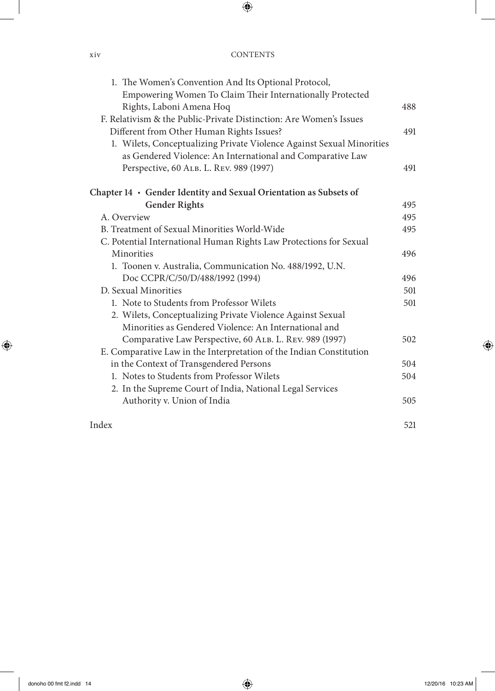| 1. The Women's Convention And Its Optional Protocol,                  |     |
|-----------------------------------------------------------------------|-----|
| Empowering Women To Claim Their Internationally Protected             |     |
| Rights, Laboni Amena Hoq                                              | 488 |
| F. Relativism & the Public-Private Distinction: Are Women's Issues    |     |
| Different from Other Human Rights Issues?                             | 491 |
| 1. Wilets, Conceptualizing Private Violence Against Sexual Minorities |     |
| as Gendered Violence: An International and Comparative Law            |     |
| Perspective, 60 ALB. L. REV. 989 (1997)                               | 491 |
| Chapter 14 • Gender Identity and Sexual Orientation as Subsets of     |     |
| <b>Gender Rights</b>                                                  | 495 |
| A. Overview                                                           | 495 |
| B. Treatment of Sexual Minorities World-Wide                          | 495 |
| C. Potential International Human Rights Law Protections for Sexual    |     |
| Minorities                                                            | 496 |
| 1. Toonen v. Australia, Communication No. 488/1992, U.N.              |     |
| Doc CCPR/C/50/D/488/1992 (1994)                                       | 496 |
| D. Sexual Minorities                                                  | 501 |
| 1. Note to Students from Professor Wilets                             | 501 |
| 2. Wilets, Conceptualizing Private Violence Against Sexual            |     |
| Minorities as Gendered Violence: An International and                 |     |
| Comparative Law Perspective, 60 ALB. L. REV. 989 (1997)               | 502 |
| E. Comparative Law in the Interpretation of the Indian Constitution   |     |
| in the Context of Transgendered Persons                               | 504 |
| 1. Notes to Students from Professor Wilets                            | 504 |
| 2. In the Supreme Court of India, National Legal Services             |     |
| Authority v. Union of India                                           | 505 |
| Index                                                                 | 521 |
|                                                                       |     |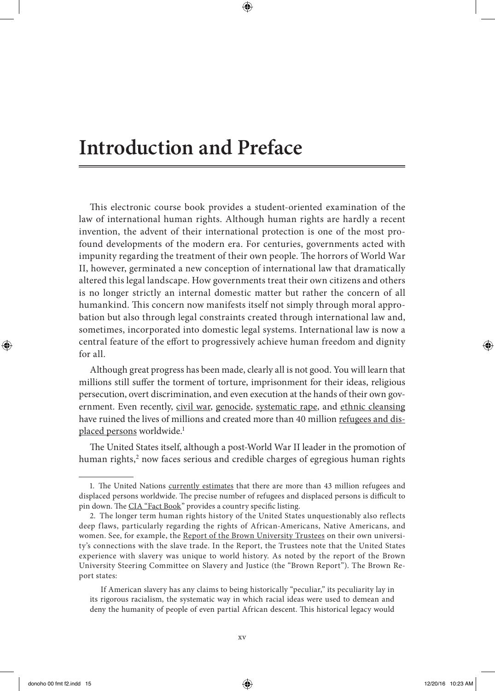### **Introduction and Preface**

This electronic course book provides a student-oriented examination of the law of international human rights. Although human rights are hardly a recent invention, the advent of their international protection is one of the most profound developments of the modern era. For centuries, governments acted with impunity regarding the treatment of their own people. The horrors of World War II, however, germinated a new conception of international law that dramatically altered this legal landscape. How governments treat their own citizens and others is no longer strictly an internal domestic matter but rather the concern of all humankind. This concern now manifests itself not simply through moral approbation but also through legal constraints created through international law and, sometimes, incorporated into domestic legal systems. International law is now a central feature of the effort to progressively achieve human freedom and dignity for all.

Although great progress has been made, clearly all is not good. You will learn that millions still suffer the torment of torture, imprisonment for their ideas, religious persecution, overt discrimination, and even execution at the hands of their own government. Even recently, [civil war](http://topics.nytimes.com/top/news/international/countriesandterritories/syria/index.html?ref=topics), [genocide,](http://www.unitedhumanrights.org/genocide/genocide-in-sudan.htm) [systematic rape](http://news.bbc.co.uk/2/hi/4078677.stm), and [ethnic cleansing](http://balkansnet.org/ethnicl.html) have ruined the lives of millions and created more than 40 million [refugees and dis](http://www.un.org/en/events/refugeeday/background.shtml)[placed persons](http://www.un.org/en/events/refugeeday/background.shtml) worldwide.<sup>1</sup>

The United States itself, although a post-World War II leader in the promotion of human rights,<sup>2</sup> now faces serious and credible charges of egregious human rights

<sup>1.</sup> The United Nations [currently estimates](http://www.un.org/en/globalissues/briefingpapers/refugees/overviewofforceddisplacement.html) that there are more than 43 million refugees and displaced persons worldwide. The precise number of refugees and displaced persons is difficult to pin down. The [CIA "Fact Book](https://www.cia.gov/library/publications/the-world-factbook/fields/2194.html)" provides a country specific listing.

<sup>2.</sup> The longer term human rights history of the United States unquestionably also reflects deep flaws, particularly regarding the rights of African-Americans, Native Americans, and women. See, for example, the [Report of the Brown University Trustees](http://brown.edu/Research/Slavery_Justice/documents/SlaveryAndJustice.pdf) on their own university's connections with the slave trade. In the Report, the Trustees note that the United States experience with slavery was unique to world history. As noted by the report of the Brown University Steering Committee on Slavery and Justice (the "Brown Report"). The Brown Report states:

If American slavery has any claims to being historically "peculiar," its peculiarity lay in its rigorous racialism, the systematic way in which racial ideas were used to demean and deny the humanity of people of even partial African descent. This historical legacy would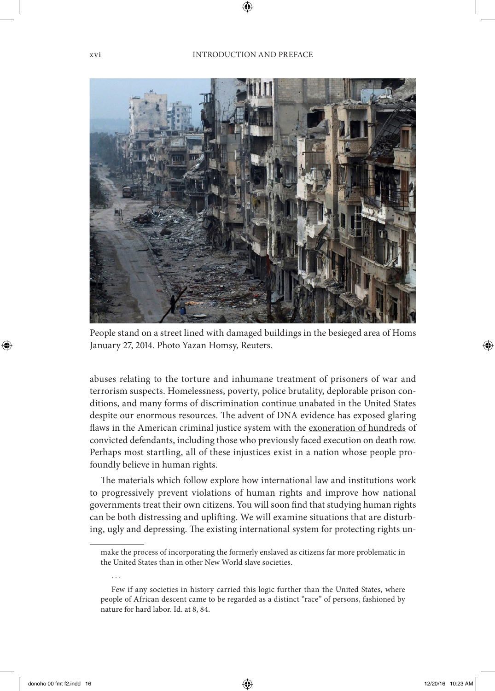

People stand on a street lined with damaged buildings in the besieged area of Homs January 27, 2014. Photo Yazan Homsy, Reuters.

abuses relating to the torture and inhumane treatment of prisoners of war and [terrorism suspects.](http://www.youtube.com/watch?v=_P-vYiGJZ0Q) Homelessness, poverty, police brutality, deplorable prison conditions, and many forms of discrimination continue unabated in the United States despite our enormous resources. The advent of DNA evidence has exposed glaring flaws in the American criminal justice system with the [exoneration of hundreds](http://www.deathpenaltyinfo.org/innocence-list-those-freed-death-row) of convicted defendants, including those who previously faced execution on death row. Perhaps most startling, all of these injustices exist in a nation whose people profoundly believe in human rights.

The materials which follow explore how international law and institutions work to progressively prevent violations of human rights and improve how national governments treat their own citizens. You will soon find that studying human rights can be both distressing and uplifting. We will examine situations that are disturbing, ugly and depressing. The existing international system for protecting rights un-

. . .

make the process of incorporating the formerly enslaved as citizens far more problematic in the United States than in other New World slave societies.

Few if any societies in history carried this logic further than the United States, where people of African descent came to be regarded as a distinct "race" of persons, fashioned by nature for hard labor. Id. at 8, 84.